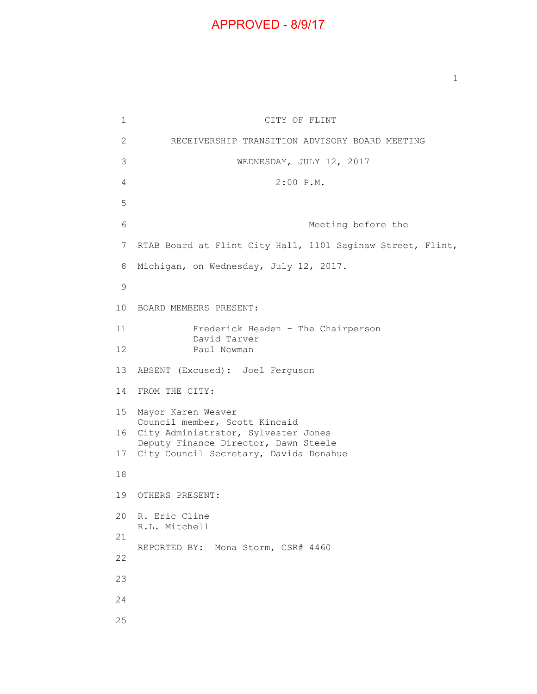## APPROVED - 8/9/17

 $\mathbf 1$  $\mathbf{2}$ 3 6 7 RTAB Board at Flint City Hall, 1101 Saginaw Street, Flint, 8 CITY OF FLINT 2 RECEIVERSHIP TRANSITION ADVISORY BOARD MEETING 3 WEDNESDAY, JULY 12, 2017 4 2:00 P.M. 5 Meeting before the Michigan, on Wednesday, July 12, 2017. 9 10 BOARD MEMBERS PRESENT: 11 Frederick Headen - The Chairperson David Tarver 12 Paul Newman 13 ABSENT (Excused): Joel Ferguson 14 FROM THE CITY: 15 Mayor Karen Weaver Council member, Scott Kincaid 16 City Administrator, Sylvester Jones Deputy Finance Director, Dawn Steele 17 City Council Secretary, Davida Donahue 18 19 OTHERS PRESENT: 20 R. Eric Cline R.L. Mitchell 21 REPORTED BY: Mona Storm, CSR# 4460 22 23 24 25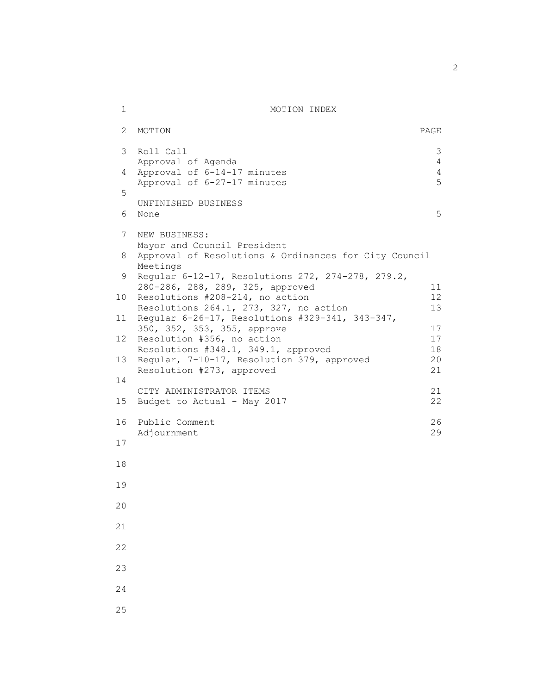1 MOTION INDEX

| 2  | MOTION                                                                                           | PAGE        |
|----|--------------------------------------------------------------------------------------------------|-------------|
| 3  | Roll Call                                                                                        | 3           |
| 4  | Approval of Agenda<br>Approval of 6-14-17 minutes                                                | 4<br>4<br>5 |
| 5  | Approval of 6-27-17 minutes                                                                      |             |
| 6  | UNFINISHED BUSINESS<br>None                                                                      | 5           |
| 7  | NEW BUSINESS:                                                                                    |             |
| 8  | Mayor and Council President<br>Approval of Resolutions & Ordinances for City Council<br>Meetings |             |
| 9  | Regular 6-12-17, Resolutions 272, 274-278, 279.2,<br>280-286, 288, 289, 325, approved            | 11          |
| 10 | Resolutions #208-214, no action                                                                  | 12          |
| 11 | Resolutions 264.1, 273, 327, no action<br>Regular 6-26-17, Resolutions #329-341, 343-347,        | 13          |
| 12 | 350, 352, 353, 355, approve<br>Resolution #356, no action                                        | 17<br>17    |
| 13 | Resolutions #348.1, 349.1, approved<br>Regular, 7-10-17, Resolution 379, approved                | 18<br>20    |
|    | Resolution #273, approved                                                                        | 21          |
| 14 | CITY ADMINISTRATOR ITEMS                                                                         | 21          |
| 15 | Budget to Actual - May 2017                                                                      | 22          |
| 16 | Public Comment<br>Adjournment                                                                    | 26<br>29    |
| 17 |                                                                                                  |             |
| 18 |                                                                                                  |             |
| 19 |                                                                                                  |             |
| 20 |                                                                                                  |             |
| 21 |                                                                                                  |             |
| 22 |                                                                                                  |             |
| 23 |                                                                                                  |             |
| 24 |                                                                                                  |             |
| 25 |                                                                                                  |             |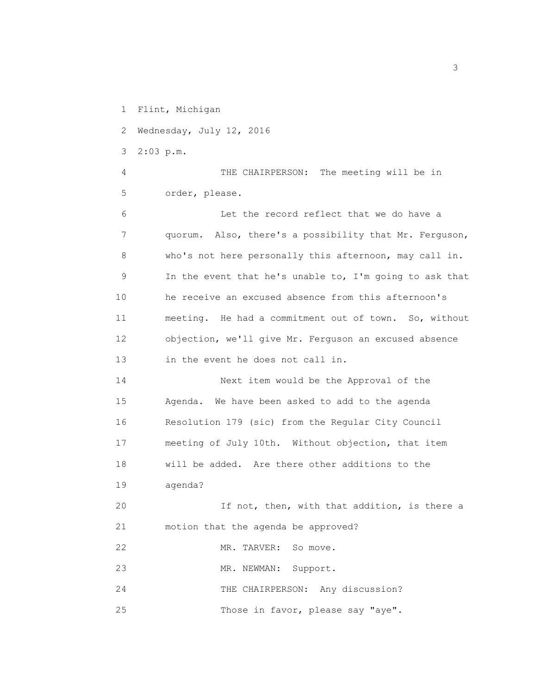1 Flint, Michigan

2 Wednesday, July 12, 2016

3 2:03 p.m.

4 THE CHAIRPERSON: The meeting will be in 5 order, please.

6 Let the record reflect that we do have a 7 quorum. Also, there's a possibility that Mr. Ferguson, 8 who's not here personally this afternoon, may call in. 9 In the event that he's unable to, I'm going to ask that 10 he receive an excused absence from this afternoon's 11 meeting. He had a commitment out of town. So, without 12 objection, we'll give Mr. Ferguson an excused absence 13 in the event he does not call in.

14 Next item would be the Approval of the 15 Agenda. We have been asked to add to the agenda 16 Resolution 179 (sic) from the Regular City Council 17 meeting of July 10th. Without objection, that item 18 will be added. Are there other additions to the 19 agenda?

20 If not, then, with that addition, is there a 21 motion that the agenda be approved?

22 MR. TARVER: So move.

23 MR. NEWMAN: Support.

24 THE CHAIRPERSON: Any discussion?

25 Those in favor, please say "aye".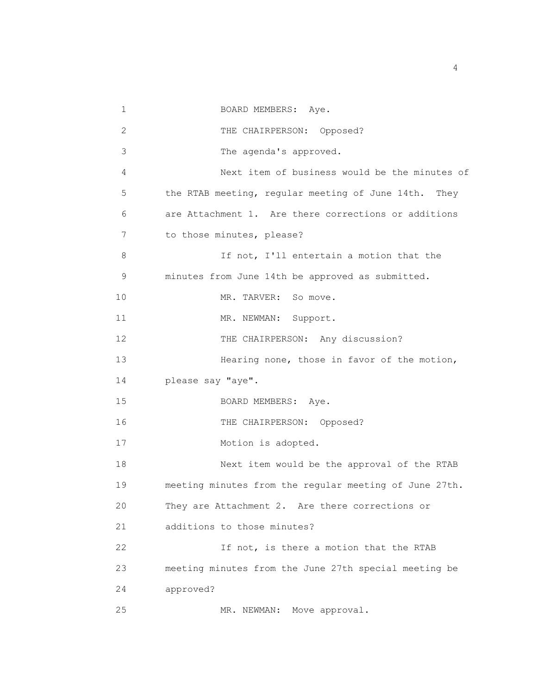1 BOARD MEMBERS: Aye. 2 THE CHAIRPERSON: Opposed? 3 The agenda's approved. 4 Next item of business would be the minutes of 5 the RTAB meeting, regular meeting of June 14th. They 6 are Attachment 1. Are there corrections or additions 7 to those minutes, please? 8 If not, I'll entertain a motion that the 9 minutes from June 14th be approved as submitted. 10 MR. TARVER: So move. 11 MR. NEWMAN: Support. 12 THE CHAIRPERSON: Any discussion? 13 Hearing none, those in favor of the motion, 14 please say "aye". 15 BOARD MEMBERS: Aye. 16 THE CHAIRPERSON: Opposed? 17 Motion is adopted. 18 Next item would be the approval of the RTAB 19 meeting minutes from the regular meeting of June 27th. 20 They are Attachment 2. Are there corrections or 21 additions to those minutes? 22 If not, is there a motion that the RTAB 23 meeting minutes from the June 27th special meeting be 24 approved? 25 MR. NEWMAN: Move approval.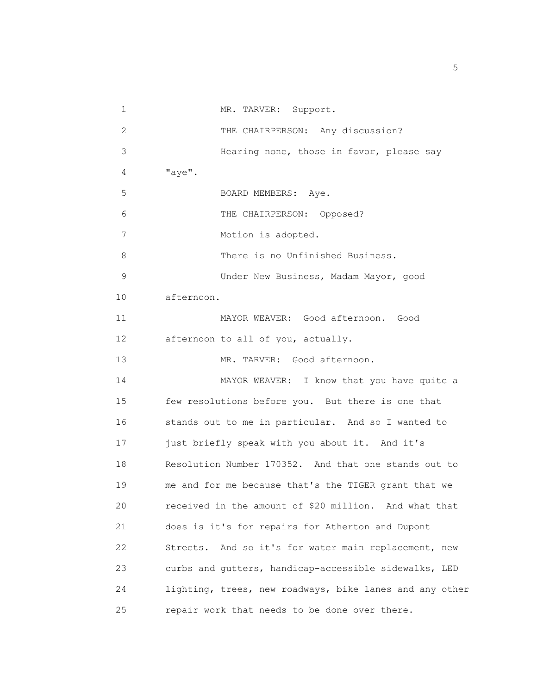1 MR. TARVER: Support. 2 THE CHAIRPERSON: Any discussion? 3 Hearing none, those in favor, please say 4 "aye". 5 BOARD MEMBERS: Aye. 6 THE CHAIRPERSON: Opposed? 7 Motion is adopted. 8 There is no Unfinished Business. 9 Under New Business, Madam Mayor, good 10 afternoon. 11 MAYOR WEAVER: Good afternoon. Good 12 afternoon to all of you, actually. 13 MR. TARVER: Good afternoon. 14 MAYOR WEAVER: I know that you have quite a 15 few resolutions before you. But there is one that 16 stands out to me in particular. And so I wanted to 17 just briefly speak with you about it. And it's 18 Resolution Number 170352. And that one stands out to 19 me and for me because that's the TIGER grant that we 20 received in the amount of \$20 million. And what that 21 does is it's for repairs for Atherton and Dupont 22 Streets. And so it's for water main replacement, new 23 curbs and gutters, handicap-accessible sidewalks, LED 24 lighting, trees, new roadways, bike lanes and any other 25 repair work that needs to be done over there.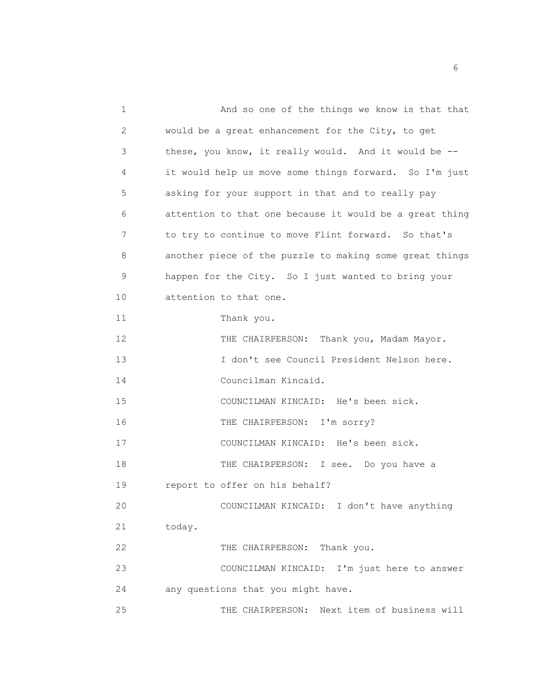1 And so one of the things we know is that that 2 would be a great enhancement for the City, to get 3 these, you know, it really would. And it would be -- 4 it would help us move some things forward. So I'm just 5 asking for your support in that and to really pay 6 attention to that one because it would be a great thing 7 to try to continue to move Flint forward. So that's 8 another piece of the puzzle to making some great things 9 happen for the City. So I just wanted to bring your 10 attention to that one. 11 Thank you. 12 THE CHAIRPERSON: Thank you, Madam Mayor. 13 I don't see Council President Nelson here. 14 Councilman Kincaid. 15 COUNCILMAN KINCAID: He's been sick. 16 THE CHAIRPERSON: I'm sorry? 17 COUNCILMAN KINCAID: He's been sick. 18 THE CHAIRPERSON: I see. Do you have a 19 report to offer on his behalf? 20 COUNCILMAN KINCAID: I don't have anything 21 today. 22 THE CHAIRPERSON: Thank you. 23 COUNCILMAN KINCAID: I'm just here to answer 24 any questions that you might have. 25 THE CHAIRPERSON: Next item of business will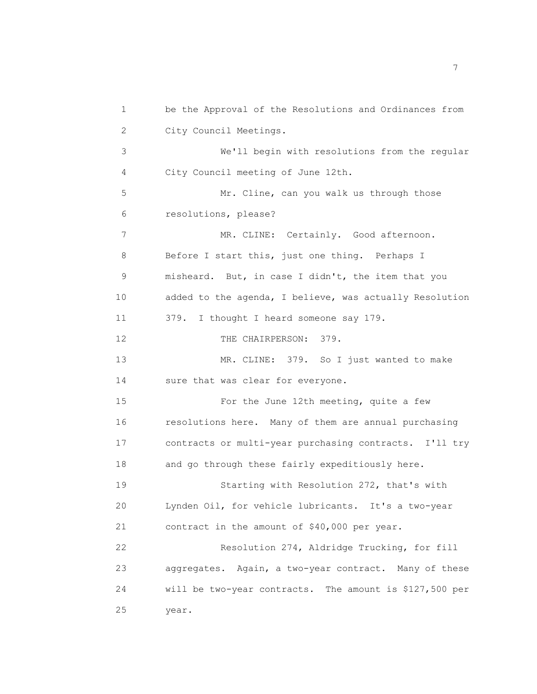| 1  | be the Approval of the Resolutions and Ordinances from  |
|----|---------------------------------------------------------|
| 2  | City Council Meetings.                                  |
| 3  | We'll begin with resolutions from the regular           |
| 4  | City Council meeting of June 12th.                      |
| 5  | Mr. Cline, can you walk us through those                |
| 6  | resolutions, please?                                    |
| 7  | MR. CLINE: Certainly. Good afternoon.                   |
| 8  | Before I start this, just one thing. Perhaps I          |
| 9  | misheard. But, in case I didn't, the item that you      |
| 10 | added to the agenda, I believe, was actually Resolution |
| 11 | 379. I thought I heard someone say 179.                 |
| 12 | THE CHAIRPERSON:<br>379.                                |
| 13 | MR. CLINE: 379. So I just wanted to make                |
| 14 | sure that was clear for everyone.                       |
| 15 | For the June 12th meeting, quite a few                  |
| 16 | resolutions here. Many of them are annual purchasing    |
| 17 | contracts or multi-year purchasing contracts. I'll try  |
| 18 | and go through these fairly expeditiously here.         |
| 19 | Starting with Resolution 272, that's with               |
| 20 | Lynden Oil, for vehicle lubricants. It's a two-year     |
| 21 | contract in the amount of \$40,000 per year.            |
| 22 | Resolution 274, Aldridge Trucking, for fill             |
| 23 | aggregates. Again, a two-year contract. Many of these   |
| 24 | will be two-year contracts. The amount is \$127,500 per |
| 25 | year.                                                   |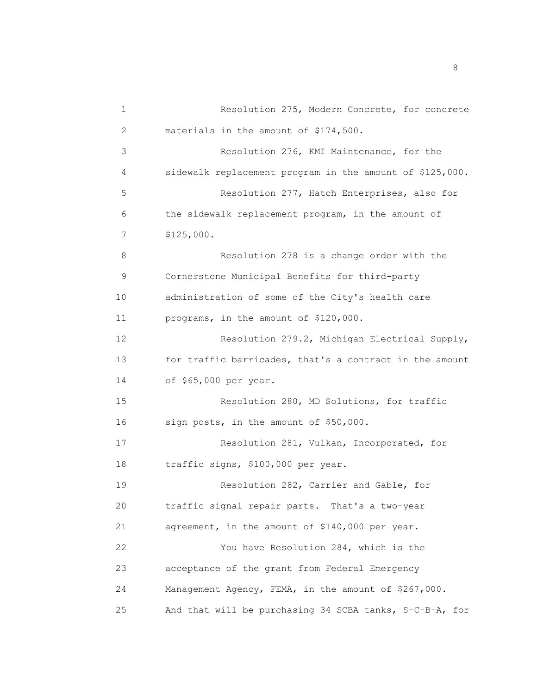| 1  | Resolution 275, Modern Concrete, for concrete            |
|----|----------------------------------------------------------|
| 2  | materials in the amount of \$174,500.                    |
| 3  | Resolution 276, KMI Maintenance, for the                 |
| 4  | sidewalk replacement program in the amount of \$125,000. |
| 5  | Resolution 277, Hatch Enterprises, also for              |
| 6  | the sidewalk replacement program, in the amount of       |
| 7  | \$125,000.                                               |
| 8  | Resolution 278 is a change order with the                |
| 9  | Cornerstone Municipal Benefits for third-party           |
| 10 | administration of some of the City's health care         |
| 11 | programs, in the amount of \$120,000.                    |
| 12 | Resolution 279.2, Michigan Electrical Supply,            |
| 13 | for traffic barricades, that's a contract in the amount  |
| 14 | of \$65,000 per year.                                    |
| 15 | Resolution 280, MD Solutions, for traffic                |
| 16 | sign posts, in the amount of \$50,000.                   |
| 17 | Resolution 281, Vulkan, Incorporated, for                |
| 18 | traffic signs, \$100,000 per year.                       |
| 19 | Resolution 282, Carrier and Gable, for                   |
| 20 | traffic signal repair parts. That's a two-year           |
| 21 | agreement, in the amount of \$140,000 per year.          |
| 22 | You have Resolution 284, which is the                    |
| 23 | acceptance of the grant from Federal Emergency           |
| 24 | Management Agency, FEMA, in the amount of \$267,000.     |
| 25 | And that will be purchasing 34 SCBA tanks, S-C-B-A, for  |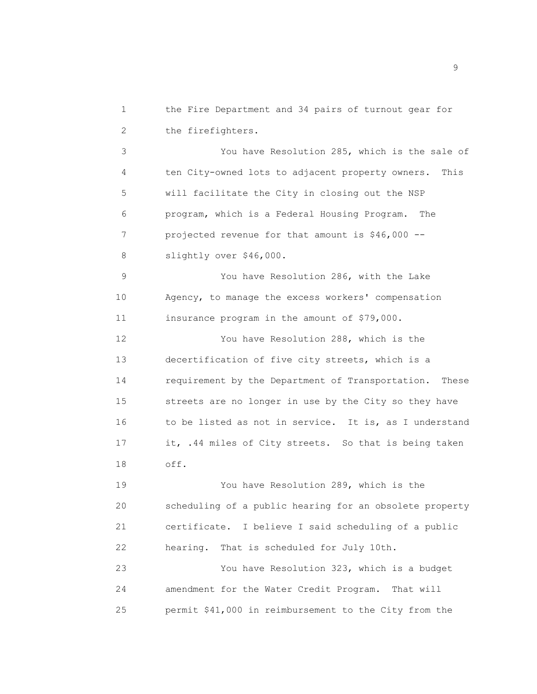1 the Fire Department and 34 pairs of turnout gear for 2 the firefighters.

3 You have Resolution 285, which is the sale of 4 ten City-owned lots to adjacent property owners. This 5 will facilitate the City in closing out the NSP 6 program, which is a Federal Housing Program. The 7 projected revenue for that amount is \$46,000 -- 8 slightly over \$46,000.

9 You have Resolution 286, with the Lake 10 Agency, to manage the excess workers' compensation 11 insurance program in the amount of \$79,000.

12 You have Resolution 288, which is the 13 decertification of five city streets, which is a 14 requirement by the Department of Transportation. These 15 streets are no longer in use by the City so they have 16 to be listed as not in service. It is, as I understand 17 it, .44 miles of City streets. So that is being taken 18 off.

19 You have Resolution 289, which is the 20 scheduling of a public hearing for an obsolete property 21 certificate. I believe I said scheduling of a public 22 hearing. That is scheduled for July 10th.

23 You have Resolution 323, which is a budget 24 amendment for the Water Credit Program. That will 25 permit \$41,000 in reimbursement to the City from the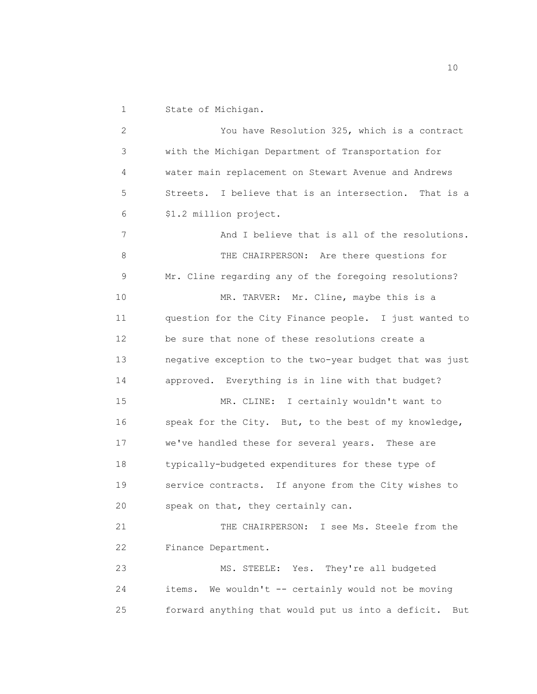1 State of Michigan.

2 You have Resolution 325, which is a contract 3 with the Michigan Department of Transportation for 4 water main replacement on Stewart Avenue and Andrews 5 Streets. I believe that is an intersection. That is a 6 \$1.2 million project. 7 And I believe that is all of the resolutions. 8 THE CHAIRPERSON: Are there questions for 9 Mr. Cline regarding any of the foregoing resolutions? 10 MR. TARVER: Mr. Cline, maybe this is a 11 question for the City Finance people. I just wanted to 12 be sure that none of these resolutions create a 13 negative exception to the two-year budget that was just 14 approved. Everything is in line with that budget? 15 MR. CLINE: I certainly wouldn't want to 16 speak for the City. But, to the best of my knowledge, 17 we've handled these for several years. These are 18 typically-budgeted expenditures for these type of 19 service contracts. If anyone from the City wishes to 20 speak on that, they certainly can. 21 THE CHAIRPERSON: I see Ms. Steele from the 22 Finance Department. 23 MS. STEELE: Yes. They're all budgeted 24 items. We wouldn't -- certainly would not be moving 25 forward anything that would put us into a deficit. But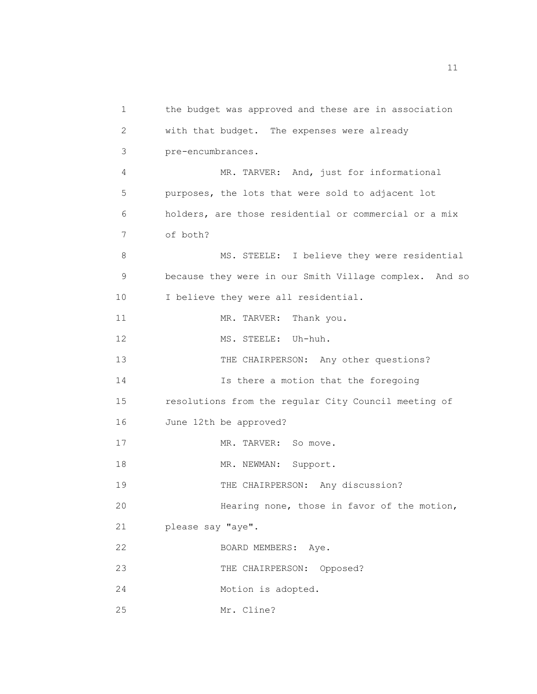1 the budget was approved and these are in association 2 with that budget. The expenses were already 3 pre-encumbrances. 4 MR. TARVER: And, just for informational 5 purposes, the lots that were sold to adjacent lot 6 holders, are those residential or commercial or a mix 7 of both? 8 MS. STEELE: I believe they were residential 9 because they were in our Smith Village complex. And so 10 I believe they were all residential. 11 MR. TARVER: Thank you. 12 MS. STEELE: Uh-huh. 13 THE CHAIRPERSON: Any other questions? 14 Is there a motion that the foregoing 15 resolutions from the regular City Council meeting of 16 June 12th be approved? 17 MR. TARVER: So move. 18 MR. NEWMAN: Support. 19 THE CHAIRPERSON: Any discussion? 20 Hearing none, those in favor of the motion, 21 please say "aye". 22 BOARD MEMBERS: Aye. 23 THE CHAIRPERSON: Opposed? 24 Motion is adopted. 25 Mr. Cline?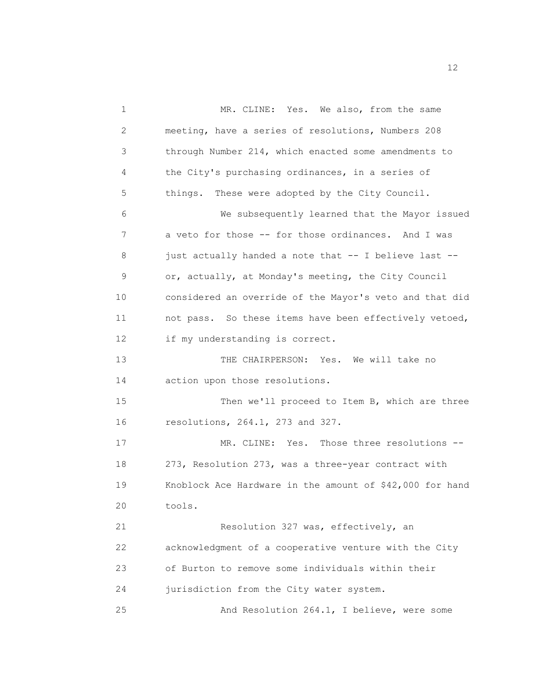1 MR. CLINE: Yes. We also, from the same 2 meeting, have a series of resolutions, Numbers 208 3 through Number 214, which enacted some amendments to 4 the City's purchasing ordinances, in a series of 5 things. These were adopted by the City Council. 6 We subsequently learned that the Mayor issued 7 a veto for those -- for those ordinances. And I was 8 just actually handed a note that -- I believe last --9 or, actually, at Monday's meeting, the City Council 10 considered an override of the Mayor's veto and that did 11 not pass. So these items have been effectively vetoed, 12 if my understanding is correct. 13 THE CHAIRPERSON: Yes. We will take no 14 action upon those resolutions. 15 Then we'll proceed to Item B, which are three 16 resolutions, 264.1, 273 and 327. 17 MR. CLINE: Yes. Those three resolutions --18 273, Resolution 273, was a three-year contract with 19 Knoblock Ace Hardware in the amount of \$42,000 for hand 20 tools. 21 Resolution 327 was, effectively, an 22 acknowledgment of a cooperative venture with the City 23 of Burton to remove some individuals within their 24 jurisdiction from the City water system. 25 And Resolution 264.1, I believe, were some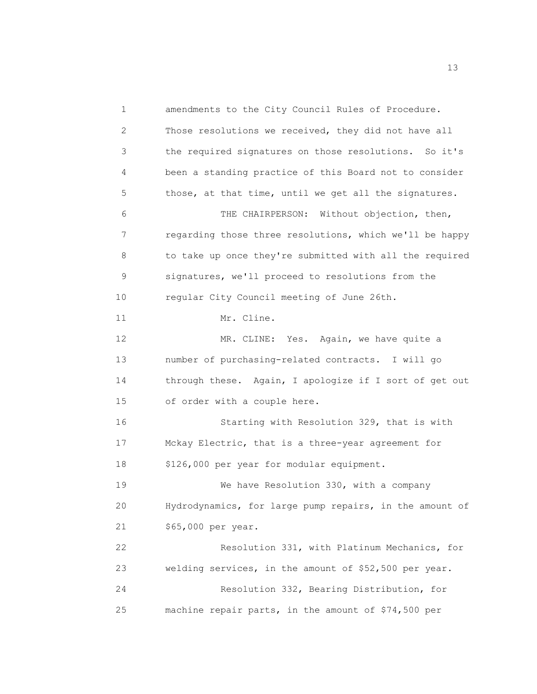1 amendments to the City Council Rules of Procedure. 2 Those resolutions we received, they did not have all 3 the required signatures on those resolutions. So it's 4 been a standing practice of this Board not to consider 5 those, at that time, until we get all the signatures. 6 THE CHAIRPERSON: Without objection, then, 7 regarding those three resolutions, which we'll be happy 8 to take up once they're submitted with all the required 9 signatures, we'll proceed to resolutions from the 10 regular City Council meeting of June 26th. 11 Mr. Cline. 12 MR. CLINE: Yes. Again, we have quite a 13 number of purchasing-related contracts. I will go 14 through these. Again, I apologize if I sort of get out 15 of order with a couple here. 16 Starting with Resolution 329, that is with 17 Mckay Electric, that is a three-year agreement for 18 \$126,000 per year for modular equipment. 19 We have Resolution 330, with a company 20 Hydrodynamics, for large pump repairs, in the amount of 21 \$65,000 per year. 22 Resolution 331, with Platinum Mechanics, for 23 welding services, in the amount of \$52,500 per year. 24 Resolution 332, Bearing Distribution, for 25 machine repair parts, in the amount of \$74,500 per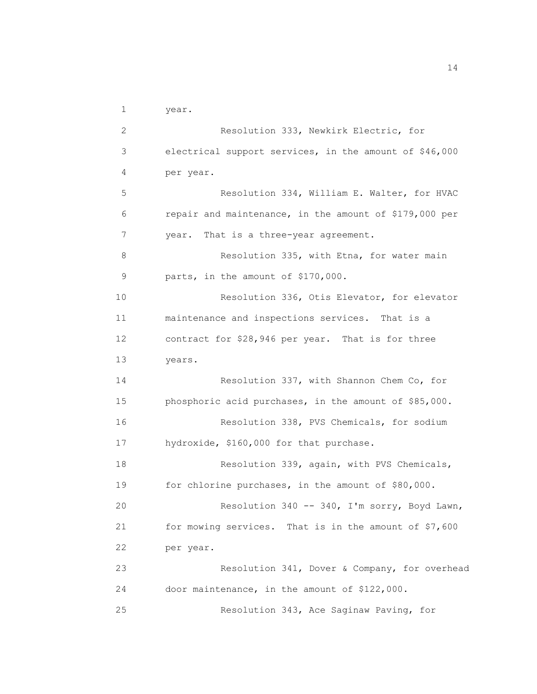1 year.

2 Resolution 333, Newkirk Electric, for 3 electrical support services, in the amount of \$46,000 4 per year. 5 Resolution 334, William E. Walter, for HVAC 6 repair and maintenance, in the amount of \$179,000 per 7 year. That is a three-year agreement. 8 Resolution 335, with Etna, for water main 9 parts, in the amount of \$170,000. 10 Resolution 336, Otis Elevator, for elevator 11 maintenance and inspections services. That is a 12 contract for \$28,946 per year. That is for three 13 years. 14 Resolution 337, with Shannon Chem Co, for 15 phosphoric acid purchases, in the amount of \$85,000. 16 Resolution 338, PVS Chemicals, for sodium 17 hydroxide, \$160,000 for that purchase. 18 Resolution 339, again, with PVS Chemicals, 19 for chlorine purchases, in the amount of \$80,000. 20 Resolution 340 -- 340, I'm sorry, Boyd Lawn, 21 for mowing services. That is in the amount of \$7,600 22 per year. 23 Resolution 341, Dover & Company, for overhead 24 door maintenance, in the amount of \$122,000. 25 Resolution 343, Ace Saginaw Paving, for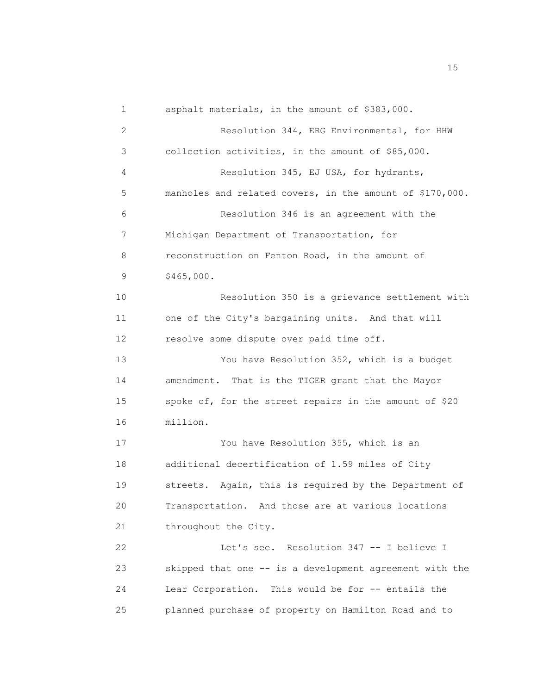1 asphalt materials, in the amount of \$383,000. 2 Resolution 344, ERG Environmental, for HHW 3 collection activities, in the amount of \$85,000. 4 Resolution 345, EJ USA, for hydrants, 5 manholes and related covers, in the amount of \$170,000. 6 Resolution 346 is an agreement with the 7 Michigan Department of Transportation, for 8 reconstruction on Fenton Road, in the amount of 9 \$465,000. 10 Resolution 350 is a grievance settlement with 11 one of the City's bargaining units. And that will 12 resolve some dispute over paid time off. 13 You have Resolution 352, which is a budget 14 amendment. That is the TIGER grant that the Mayor 15 spoke of, for the street repairs in the amount of \$20 16 million. 17 You have Resolution 355, which is an 18 additional decertification of 1.59 miles of City 19 streets. Again, this is required by the Department of 20 Transportation. And those are at various locations 21 throughout the City. 22 Let's see. Resolution 347 -- I believe I 23 skipped that one -- is a development agreement with the 24 Lear Corporation. This would be for -- entails the 25 planned purchase of property on Hamilton Road and to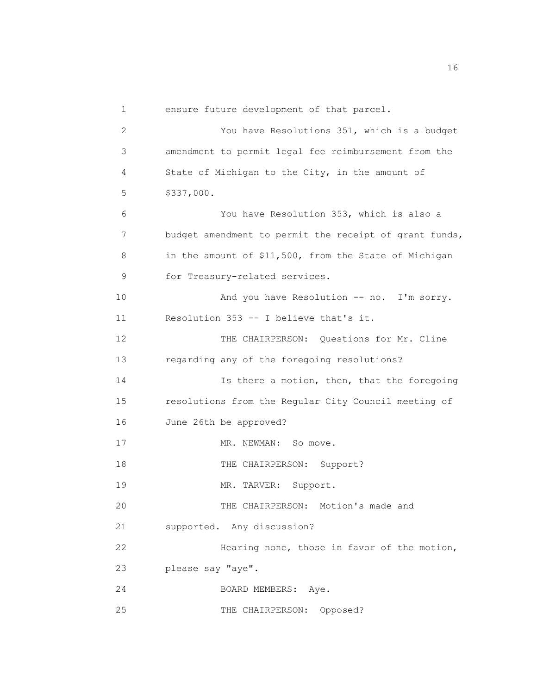| 1  | ensure future development of that parcel.              |
|----|--------------------------------------------------------|
| 2  | You have Resolutions 351, which is a budget            |
| 3  | amendment to permit legal fee reimbursement from the   |
| 4  | State of Michigan to the City, in the amount of        |
| 5  | \$337,000.                                             |
| 6  | You have Resolution 353, which is also a               |
| 7  | budget amendment to permit the receipt of grant funds, |
| 8  | in the amount of \$11,500, from the State of Michigan  |
| 9  | for Treasury-related services.                         |
| 10 | And you have Resolution -- no. I'm sorry.              |
| 11 | Resolution 353 -- I believe that's it.                 |
| 12 | THE CHAIRPERSON: Questions for Mr. Cline               |
| 13 | regarding any of the foregoing resolutions?            |
| 14 | Is there a motion, then, that the foregoing            |
| 15 | resolutions from the Regular City Council meeting of   |
| 16 | June 26th be approved?                                 |
| 17 | MR. NEWMAN: So move.                                   |
| 18 | THE CHAIRPERSON: Support?                              |
| 19 | MR. TARVER:<br>Support.                                |
| 20 | THE CHAIRPERSON: Motion's made and                     |
| 21 | supported. Any discussion?                             |
| 22 | Hearing none, those in favor of the motion,            |
| 23 | please say "aye".                                      |
| 24 | BOARD MEMBERS: Aye.                                    |
| 25 | THE CHAIRPERSON: Opposed?                              |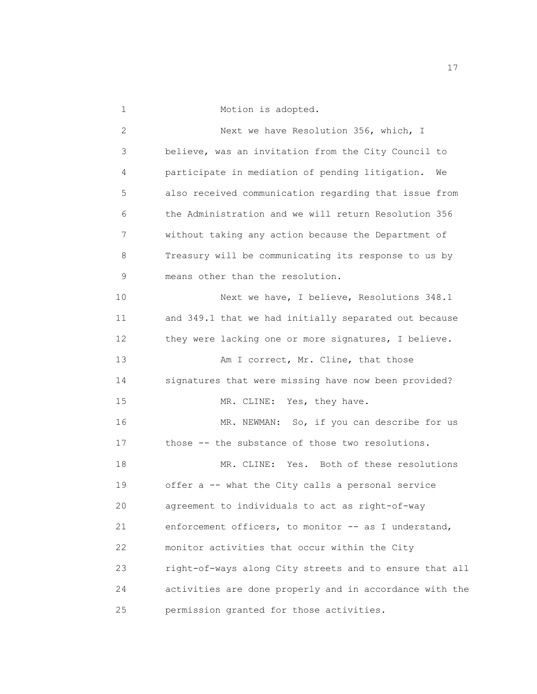1 Motion is adopted. 2 Next we have Resolution 356, which, I 3 believe, was an invitation from the City Council to 4 participate in mediation of pending litigation. We 5 also received communication regarding that issue from 6 the Administration and we will return Resolution 356 7 without taking any action because the Department of 8 Treasury will be communicating its response to us by 9 means other than the resolution. 10 Next we have, I believe, Resolutions 348.1 11 and 349.1 that we had initially separated out because 12 they were lacking one or more signatures, I believe. 13 Am I correct, Mr. Cline, that those 14 signatures that were missing have now been provided? 15 MR. CLINE: Yes, they have. 16 MR. NEWMAN: So, if you can describe for us 17 those -- the substance of those two resolutions. 18 MR. CLINE: Yes. Both of these resolutions 19 offer a -- what the City calls a personal service 20 agreement to individuals to act as right-of-way 21 enforcement officers, to monitor -- as I understand, 22 monitor activities that occur within the City 23 right-of-ways along City streets and to ensure that all 24 activities are done properly and in accordance with the 25 permission granted for those activities.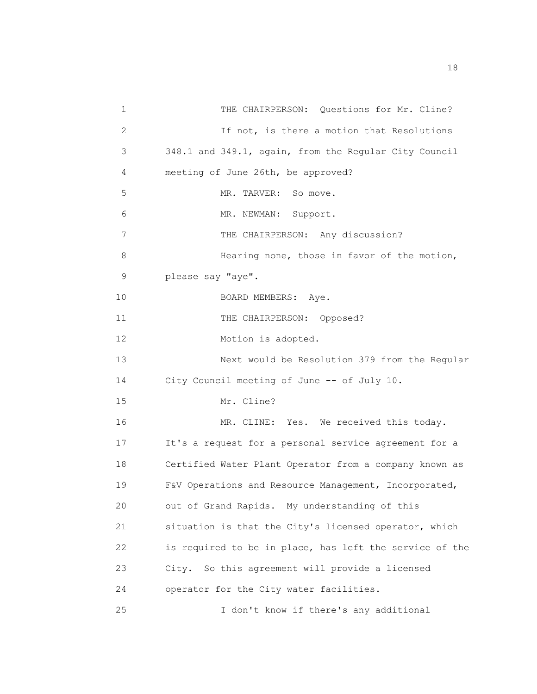1 THE CHAIRPERSON: Questions for Mr. Cline? 2 1f not, is there a motion that Resolutions 3 348.1 and 349.1, again, from the Regular City Council 4 meeting of June 26th, be approved? 5 MR. TARVER: So move. 6 MR. NEWMAN: Support. 7 THE CHAIRPERSON: Any discussion? 8 Hearing none, those in favor of the motion, 9 please say "aye". 10 BOARD MEMBERS: Aye. 11 THE CHAIRPERSON: Opposed? 12 Motion is adopted. 13 Next would be Resolution 379 from the Regular 14 City Council meeting of June -- of July 10. 15 Mr. Cline? 16 MR. CLINE: Yes. We received this today. 17 It's a request for a personal service agreement for a 18 Certified Water Plant Operator from a company known as 19 F&V Operations and Resource Management, Incorporated, 20 out of Grand Rapids. My understanding of this 21 situation is that the City's licensed operator, which 22 is required to be in place, has left the service of the 23 City. So this agreement will provide a licensed 24 operator for the City water facilities. 25 I don't know if there's any additional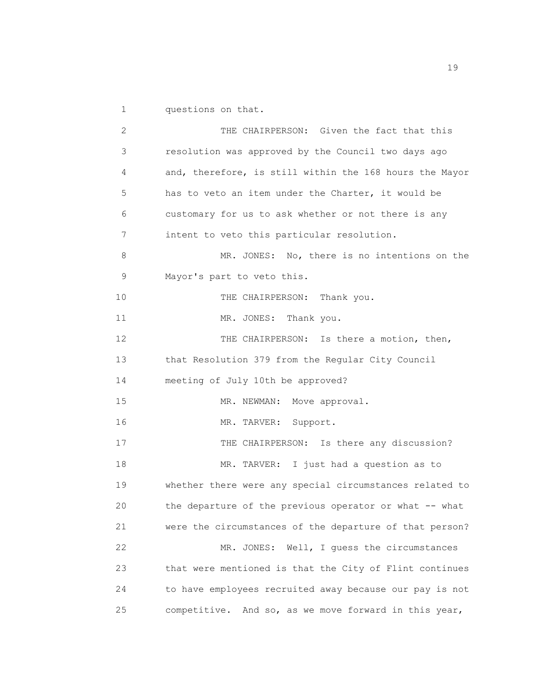1 questions on that.

2 THE CHAIRPERSON: Given the fact that this 3 resolution was approved by the Council two days ago 4 and, therefore, is still within the 168 hours the Mayor 5 has to veto an item under the Charter, it would be 6 customary for us to ask whether or not there is any 7 intent to veto this particular resolution. 8 MR. JONES: No, there is no intentions on the 9 Mayor's part to veto this. 10 THE CHAIRPERSON: Thank you. 11 MR. JONES: Thank you. 12 THE CHAIRPERSON: Is there a motion, then, 13 that Resolution 379 from the Regular City Council 14 meeting of July 10th be approved? 15 MR. NEWMAN: Move approval. 16 MR. TARVER: Support. 17 THE CHAIRPERSON: Is there any discussion? 18 MR. TARVER: I just had a question as to 19 whether there were any special circumstances related to 20 the departure of the previous operator or what -- what 21 were the circumstances of the departure of that person? 22 MR. JONES: Well, I guess the circumstances 23 that were mentioned is that the City of Flint continues 24 to have employees recruited away because our pay is not 25 competitive. And so, as we move forward in this year,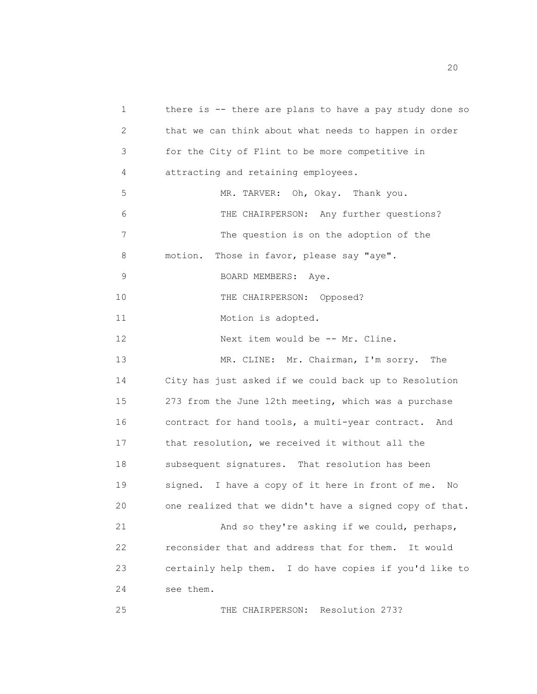1 there is -- there are plans to have a pay study done so 2 that we can think about what needs to happen in order 3 for the City of Flint to be more competitive in 4 attracting and retaining employees. 5 MR. TARVER: Oh, Okay. Thank you. 6 THE CHAIRPERSON: Any further questions? 7 The question is on the adoption of the 8 motion. Those in favor, please say "aye". 9 BOARD MEMBERS: Aye. 10 THE CHAIRPERSON: Opposed? 11 Motion is adopted. 12 Next item would be -- Mr. Cline. 13 MR. CLINE: Mr. Chairman, I'm sorry. The 14 City has just asked if we could back up to Resolution 15 273 from the June 12th meeting, which was a purchase 16 contract for hand tools, a multi-year contract. And 17 that resolution, we received it without all the 18 subsequent signatures. That resolution has been 19 signed. I have a copy of it here in front of me. No 20 one realized that we didn't have a signed copy of that. 21 And so they're asking if we could, perhaps, 22 reconsider that and address that for them. It would 23 certainly help them. I do have copies if you'd like to 24 see them. 25 THE CHAIRPERSON: Resolution 273?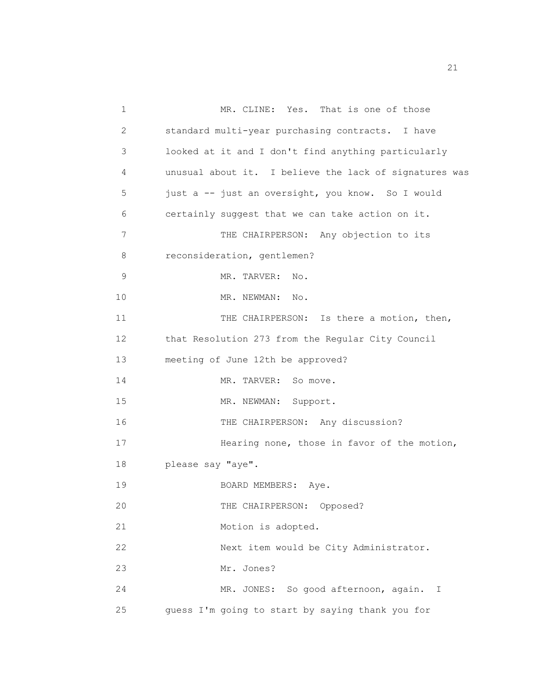| 1  | MR. CLINE: Yes. That is one of those                   |
|----|--------------------------------------------------------|
| 2  | standard multi-year purchasing contracts. I have       |
| 3  | looked at it and I don't find anything particularly    |
| 4  | unusual about it. I believe the lack of signatures was |
| 5  | just a -- just an oversight, you know. So I would      |
| 6  | certainly suggest that we can take action on it.       |
| 7  | THE CHAIRPERSON: Any objection to its                  |
| 8  | reconsideration, gentlemen?                            |
| 9  | MR. TARVER:<br>No.                                     |
| 10 | MR. NEWMAN: No.                                        |
| 11 | THE CHAIRPERSON: Is there a motion, then,              |
| 12 | that Resolution 273 from the Regular City Council      |
| 13 | meeting of June 12th be approved?                      |
| 14 | MR. TARVER: So move.                                   |
| 15 | MR. NEWMAN: Support.                                   |
| 16 | THE CHAIRPERSON: Any discussion?                       |
| 17 | Hearing none, those in favor of the motion,            |
| 18 | please say "aye".                                      |
| 19 | BOARD MEMBERS: Aye.                                    |
| 20 | THE CHAIRPERSON: Opposed?                              |
| 21 | Motion is adopted.                                     |
| 22 | Next item would be City Administrator.                 |
| 23 | Mr. Jones?                                             |
| 24 | MR. JONES: So good afternoon, again.<br>I              |
| 25 | guess I'm going to start by saying thank you for       |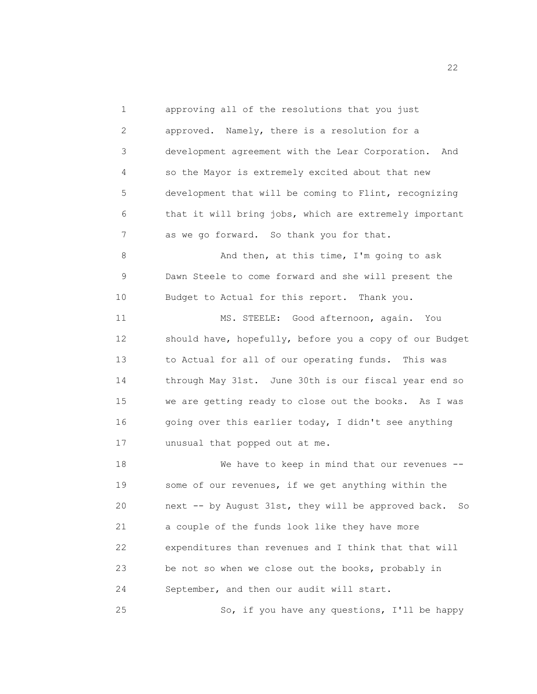1 approving all of the resolutions that you just 2 approved. Namely, there is a resolution for a 3 development agreement with the Lear Corporation. And 4 so the Mayor is extremely excited about that new 5 development that will be coming to Flint, recognizing 6 that it will bring jobs, which are extremely important 7 as we go forward. So thank you for that. 8 And then, at this time, I'm going to ask 9 Dawn Steele to come forward and she will present the 10 Budget to Actual for this report. Thank you. 11 MS. STEELE: Good afternoon, again. You 12 should have, hopefully, before you a copy of our Budget 13 to Actual for all of our operating funds. This was 14 through May 31st. June 30th is our fiscal year end so 15 we are getting ready to close out the books. As I was 16 going over this earlier today, I didn't see anything 17 unusual that popped out at me. 18 We have to keep in mind that our revenues -- 19 some of our revenues, if we get anything within the 20 next -- by August 31st, they will be approved back. So 21 a couple of the funds look like they have more 22 expenditures than revenues and I think that that will 23 be not so when we close out the books, probably in 24 September, and then our audit will start. 25 So, if you have any questions, I'll be happy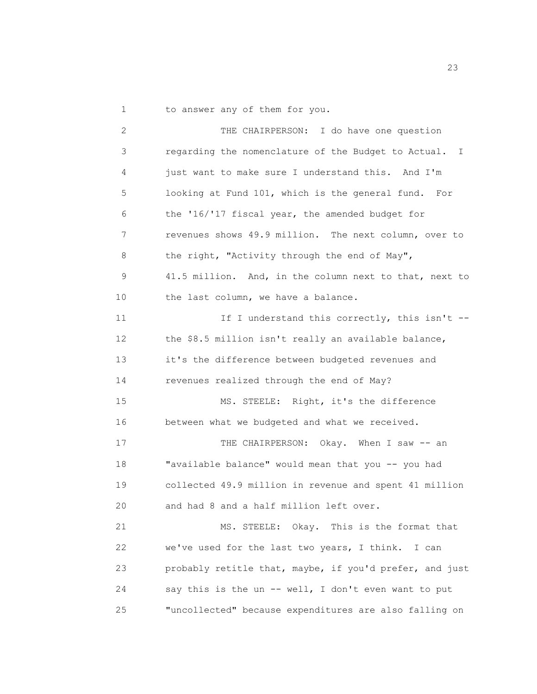1 to answer any of them for you.

2 THE CHAIRPERSON: I do have one question 3 regarding the nomenclature of the Budget to Actual. I 4 just want to make sure I understand this. And I'm 5 looking at Fund 101, which is the general fund. For 6 the '16/'17 fiscal year, the amended budget for 7 revenues shows 49.9 million. The next column, over to 8 the right, "Activity through the end of May", 9 41.5 million. And, in the column next to that, next to 10 the last column, we have a balance. 11 If I understand this correctly, this isn't --12 the \$8.5 million isn't really an available balance, 13 it's the difference between budgeted revenues and 14 revenues realized through the end of May? 15 MS. STEELE: Right, it's the difference 16 between what we budgeted and what we received. 17 THE CHAIRPERSON: Okay. When I saw -- an 18 "available balance" would mean that you -- you had 19 collected 49.9 million in revenue and spent 41 million 20 and had 8 and a half million left over. 21 MS. STEELE: Okay. This is the format that 22 we've used for the last two years, I think. I can 23 probably retitle that, maybe, if you'd prefer, and just 24 say this is the un -- well, I don't even want to put 25 "uncollected" because expenditures are also falling on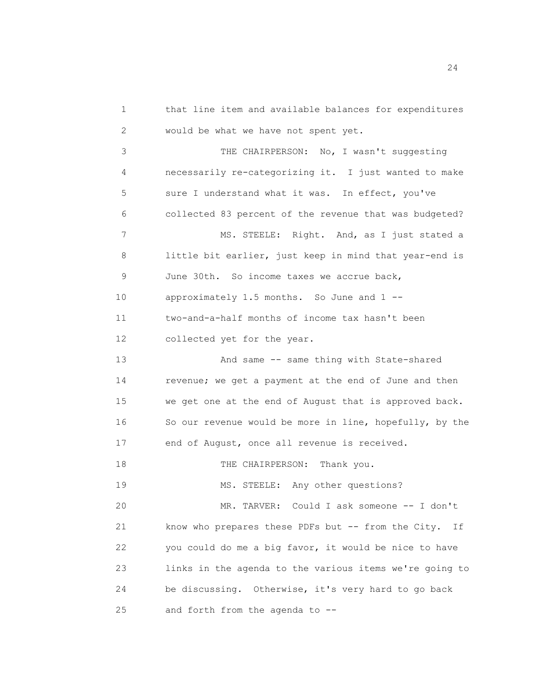1 that line item and available balances for expenditures 2 would be what we have not spent yet. 3 THE CHAIRPERSON: No, I wasn't suggesting 4 necessarily re-categorizing it. I just wanted to make 5 sure I understand what it was. In effect, you've 6 collected 83 percent of the revenue that was budgeted? 7 MS. STEELE: Right. And, as I just stated a 8 little bit earlier, just keep in mind that year-end is 9 June 30th. So income taxes we accrue back, 10 approximately 1.5 months. So June and 1 -- 11 two-and-a-half months of income tax hasn't been 12 collected yet for the year. 13 And same -- same thing with State-shared 14 revenue; we get a payment at the end of June and then 15 we get one at the end of August that is approved back. 16 So our revenue would be more in line, hopefully, by the 17 end of August, once all revenue is received. 18 THE CHAIRPERSON: Thank you. 19 MS. STEELE: Any other questions? 20 MR. TARVER: Could I ask someone -- I don't 21 know who prepares these PDFs but -- from the City. If 22 you could do me a big favor, it would be nice to have 23 links in the agenda to the various items we're going to 24 be discussing. Otherwise, it's very hard to go back 25 and forth from the agenda to --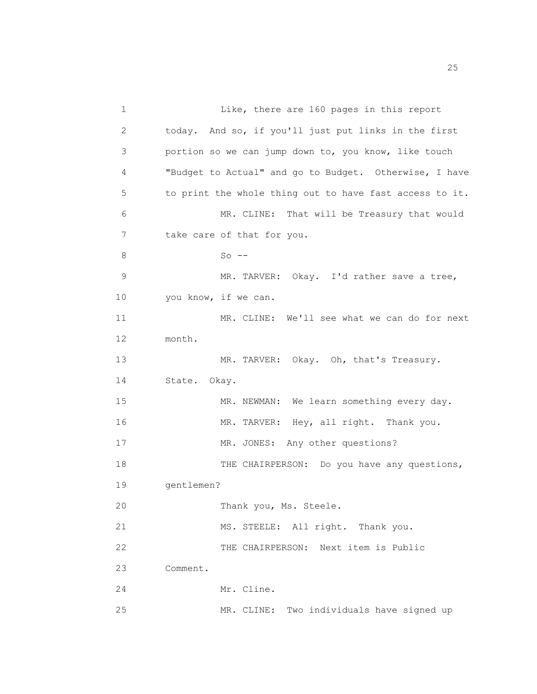1 Like, there are 160 pages in this report 2 today. And so, if you'll just put links in the first 3 portion so we can jump down to, you know, like touch 4 "Budget to Actual" and go to Budget. Otherwise, I have 5 to print the whole thing out to have fast access to it. 6 MR. CLINE: That will be Treasury that would 7 take care of that for you. 8 So --9 MR. TARVER: Okay. I'd rather save a tree, 10 you know, if we can. 11 MR. CLINE: We'll see what we can do for next 12 month. 13 MR. TARVER: Okay. Oh, that's Treasury. 14 State. Okay. 15 MR. NEWMAN: We learn something every day. 16 MR. TARVER: Hey, all right. Thank you. 17 MR. JONES: Any other questions? 18 THE CHAIRPERSON: Do you have any questions, 19 gentlemen? 20 Thank you, Ms. Steele. 21 MS. STEELE: All right. Thank you. 22 THE CHAIRPERSON: Next item is Public 23 Comment. 24 Mr. Cline. 25 MR. CLINE: Two individuals have signed up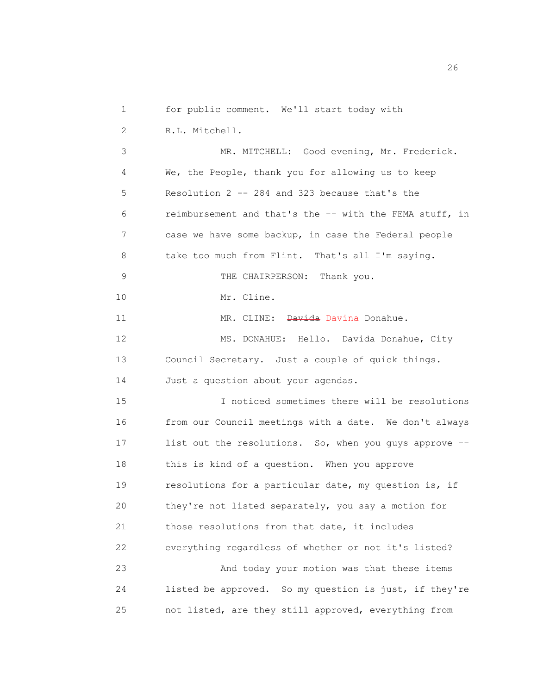1 for public comment. We'll start today with 2 R.L. Mitchell. 3 MR. MITCHELL: Good evening, Mr. Frederick. 4 We, the People, thank you for allowing us to keep 5 Resolution 2 -- 284 and 323 because that's the 6 reimbursement and that's the -- with the FEMA stuff, in 7 case we have some backup, in case the Federal people 8 take too much from Flint. That's all I'm saying. 9 THE CHAIRPERSON: Thank you. 10 Mr. Cline. 11 MR. CLINE: Davida Davina Donahue. 12 MS. DONAHUE: Hello. Davida Donahue, City 13 Council Secretary. Just a couple of quick things. 14 Just a question about your agendas. 15 I noticed sometimes there will be resolutions 16 from our Council meetings with a date. We don't always 17 list out the resolutions. So, when you guys approve -- 18 this is kind of a question. When you approve 19 resolutions for a particular date, my question is, if 20 they're not listed separately, you say a motion for 21 those resolutions from that date, it includes 22 everything regardless of whether or not it's listed? 23 And today your motion was that these items 24 listed be approved. So my question is just, if they're 25 not listed, are they still approved, everything from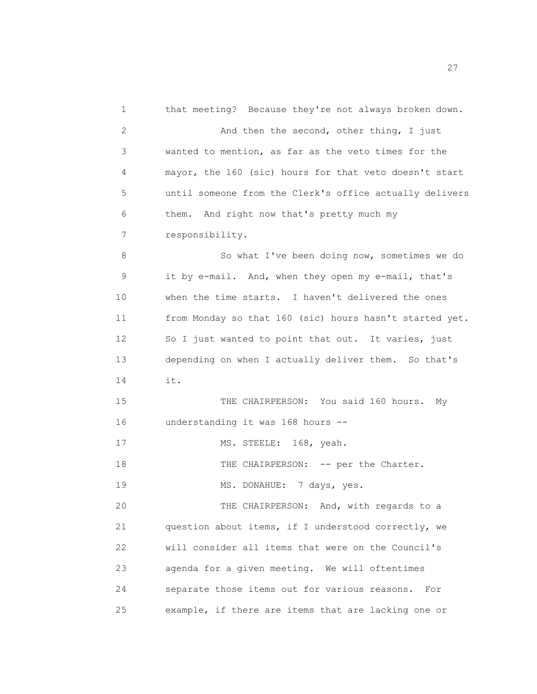1 that meeting? Because they're not always broken down. 2 And then the second, other thing, I just 3 wanted to mention, as far as the veto times for the 4 mayor, the 160 (sic) hours for that veto doesn't start 5 until someone from the Clerk's office actually delivers 6 them. And right now that's pretty much my 7 responsibility. 8 So what I've been doing now, sometimes we do 9 it by e-mail. And, when they open my e-mail, that's 10 when the time starts. I haven't delivered the ones 11 from Monday so that 160 (sic) hours hasn't started yet. 12 So I just wanted to point that out. It varies, just 13 depending on when I actually deliver them. So that's 14 it. 15 THE CHAIRPERSON: You said 160 hours. My 16 understanding it was 168 hours -- 17 MS. STEELE: 168, yeah. 18 THE CHAIRPERSON: -- per the Charter. 19 MS. DONAHUE: 7 days, yes. 20 THE CHAIRPERSON: And, with regards to a 21 question about items, if I understood correctly, we 22 will consider all items that were on the Council's 23 agenda for a given meeting. We will oftentimes 24 separate those items out for various reasons. For 25 example, if there are items that are lacking one or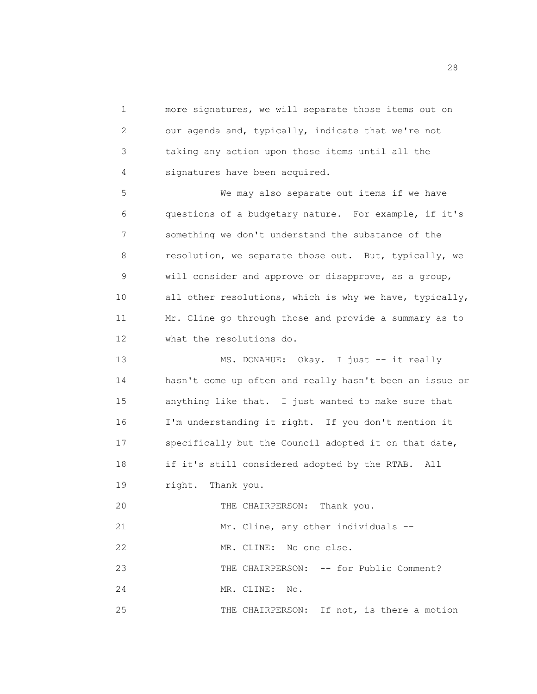1 more signatures, we will separate those items out on 2 our agenda and, typically, indicate that we're not 3 taking any action upon those items until all the 4 signatures have been acquired.

5 We may also separate out items if we have 6 questions of a budgetary nature. For example, if it's 7 something we don't understand the substance of the 8 resolution, we separate those out. But, typically, we 9 will consider and approve or disapprove, as a group, 10 all other resolutions, which is why we have, typically, 11 Mr. Cline go through those and provide a summary as to 12 what the resolutions do.

13 MS. DONAHUE: Okay. I just -- it really 14 hasn't come up often and really hasn't been an issue or 15 anything like that. I just wanted to make sure that 16 I'm understanding it right. If you don't mention it 17 specifically but the Council adopted it on that date, 18 if it's still considered adopted by the RTAB. All 19 right. Thank you.

20 THE CHAIRPERSON: Thank you.

21 Mr. Cline, any other individuals --

22 MR. CLINE: No one else.

23 THE CHAIRPERSON: -- for Public Comment?

24 MR. CLINE: No.

25 THE CHAIRPERSON: If not, is there a motion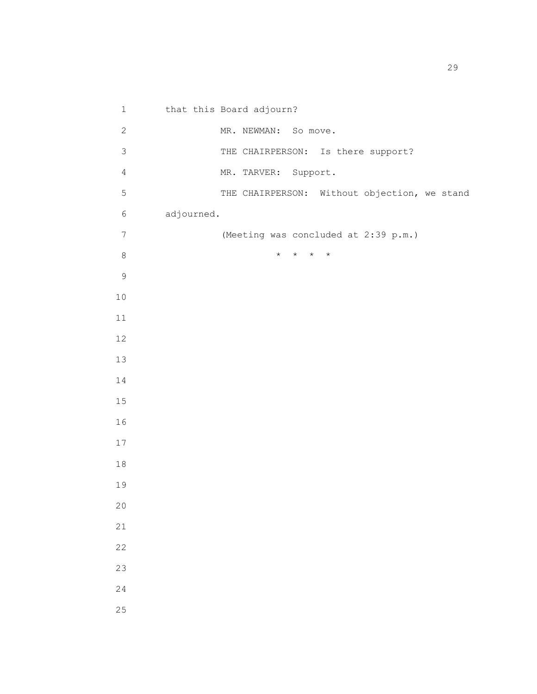| $\mathbf 1$    | that this Board adjourn?                     |
|----------------|----------------------------------------------|
| $\mathbf{2}$   | MR. NEWMAN: So move.                         |
| $\mathfrak{Z}$ | THE CHAIRPERSON: Is there support?           |
| $\overline{4}$ | MR. TARVER: Support.                         |
| $\mathsf S$    | THE CHAIRPERSON: Without objection, we stand |
| $\sqrt{6}$     | adjourned.                                   |
| 7              | (Meeting was concluded at 2:39 p.m.)         |
| $\,8\,$        | $\star$ $\star$ $\star$<br>$\star$           |
| $\mathcal{G}$  |                                              |
| 10             |                                              |
| 11             |                                              |
| 12             |                                              |
| 13             |                                              |
| 14             |                                              |
| 15             |                                              |
| 16             |                                              |
| 17             |                                              |
| $1\,8$         |                                              |
| 19             |                                              |
| 20             |                                              |
| 21             |                                              |
| 22             |                                              |
| 23             |                                              |
| 24             |                                              |
| 25             |                                              |